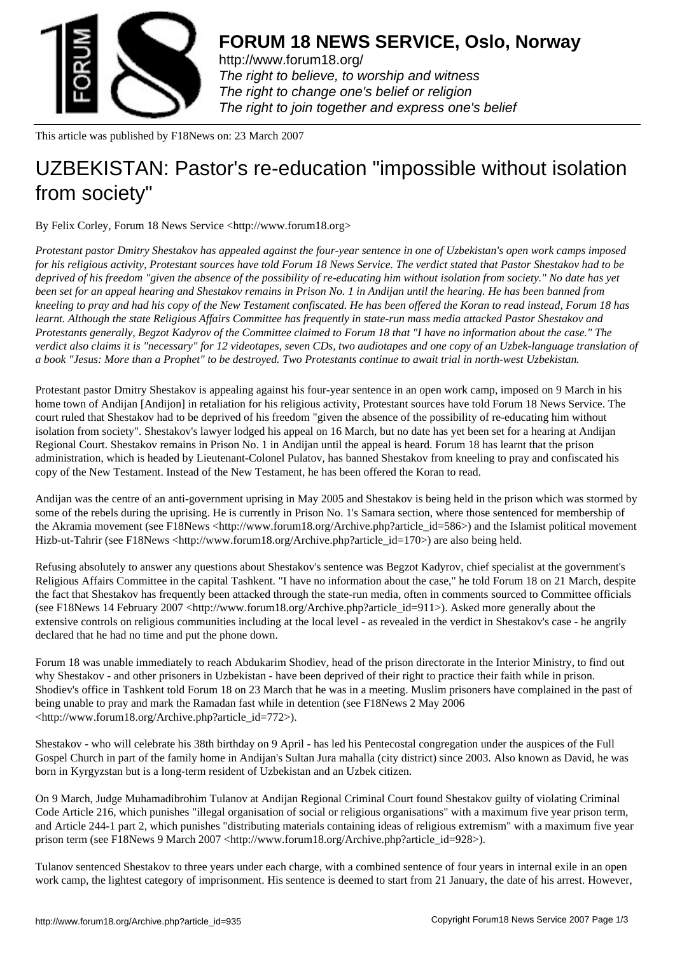

http://www.forum18.org/ The right to believe, to worship and witness The right to change one's belief or religion [The right to join together](http://www.forum18.org/) and express one's belief

This article was published by F18News on: 23 March 2007

## [UZBEKISTAN: Pas](http://www.forum18.org)tor's re-education "impossible without isolation from society"

By Felix Corley, Forum 18 News Service <http://www.forum18.org>

*Protestant pastor Dmitry Shestakov has appealed against the four-year sentence in one of Uzbekistan's open work camps imposed for his religious activity, Protestant sources have told Forum 18 News Service. The verdict stated that Pastor Shestakov had to be deprived of his freedom "given the absence of the possibility of re-educating him without isolation from society." No date has yet been set for an appeal hearing and Shestakov remains in Prison No. 1 in Andijan until the hearing. He has been banned from kneeling to pray and had his copy of the New Testament confiscated. He has been offered the Koran to read instead, Forum 18 has learnt. Although the state Religious Affairs Committee has frequently in state-run mass media attacked Pastor Shestakov and Protestants generally, Begzot Kadyrov of the Committee claimed to Forum 18 that "I have no information about the case." The verdict also claims it is "necessary" for 12 videotapes, seven CDs, two audiotapes and one copy of an Uzbek-language translation of a book "Jesus: More than a Prophet" to be destroyed. Two Protestants continue to await trial in north-west Uzbekistan.*

Protestant pastor Dmitry Shestakov is appealing against his four-year sentence in an open work camp, imposed on 9 March in his home town of Andijan [Andijon] in retaliation for his religious activity, Protestant sources have told Forum 18 News Service. The court ruled that Shestakov had to be deprived of his freedom "given the absence of the possibility of re-educating him without isolation from society". Shestakov's lawyer lodged his appeal on 16 March, but no date has yet been set for a hearing at Andijan Regional Court. Shestakov remains in Prison No. 1 in Andijan until the appeal is heard. Forum 18 has learnt that the prison administration, which is headed by Lieutenant-Colonel Pulatov, has banned Shestakov from kneeling to pray and confiscated his copy of the New Testament. Instead of the New Testament, he has been offered the Koran to read.

Andijan was the centre of an anti-government uprising in May 2005 and Shestakov is being held in the prison which was stormed by some of the rebels during the uprising. He is currently in Prison No. 1's Samara section, where those sentenced for membership of the Akramia movement (see F18News <http://www.forum18.org/Archive.php?article\_id=586>) and the Islamist political movement Hizb-ut-Tahrir (see F18News <http://www.forum18.org/Archive.php?article\_id=170>) are also being held.

Refusing absolutely to answer any questions about Shestakov's sentence was Begzot Kadyrov, chief specialist at the government's Religious Affairs Committee in the capital Tashkent. "I have no information about the case," he told Forum 18 on 21 March, despite the fact that Shestakov has frequently been attacked through the state-run media, often in comments sourced to Committee officials (see F18News 14 February 2007 <http://www.forum18.org/Archive.php?article\_id=911>). Asked more generally about the extensive controls on religious communities including at the local level - as revealed in the verdict in Shestakov's case - he angrily declared that he had no time and put the phone down.

Forum 18 was unable immediately to reach Abdukarim Shodiev, head of the prison directorate in the Interior Ministry, to find out why Shestakov - and other prisoners in Uzbekistan - have been deprived of their right to practice their faith while in prison. Shodiev's office in Tashkent told Forum 18 on 23 March that he was in a meeting. Muslim prisoners have complained in the past of being unable to pray and mark the Ramadan fast while in detention (see F18News 2 May 2006 <http://www.forum18.org/Archive.php?article\_id=772>).

Shestakov - who will celebrate his 38th birthday on 9 April - has led his Pentecostal congregation under the auspices of the Full Gospel Church in part of the family home in Andijan's Sultan Jura mahalla (city district) since 2003. Also known as David, he was born in Kyrgyzstan but is a long-term resident of Uzbekistan and an Uzbek citizen.

On 9 March, Judge Muhamadibrohim Tulanov at Andijan Regional Criminal Court found Shestakov guilty of violating Criminal Code Article 216, which punishes "illegal organisation of social or religious organisations" with a maximum five year prison term, and Article 244-1 part 2, which punishes "distributing materials containing ideas of religious extremism" with a maximum five year prison term (see F18News 9 March 2007 <http://www.forum18.org/Archive.php?article\_id=928>).

Tulanov sentenced Shestakov to three years under each charge, with a combined sentence of four years in internal exile in an open work camp, the lightest category of imprisonment. His sentence is deemed to start from 21 January, the date of his arrest. However,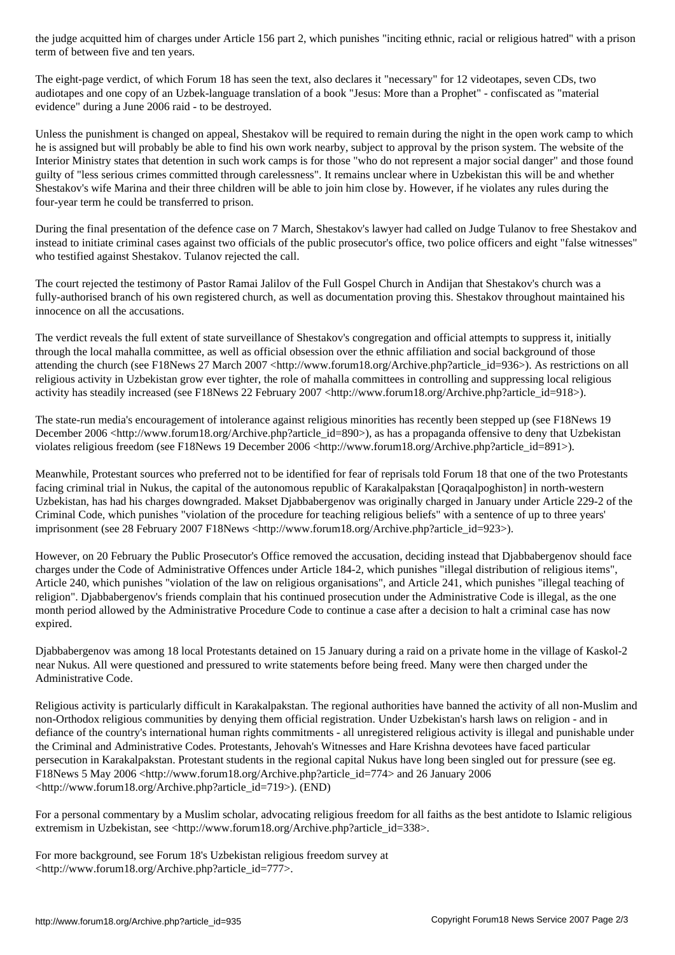The eight-page verdict, of which Forum 18 has seen the text, also declares it "necessary" for 12 videotapes, seven CDs, two audiotapes and one copy of an Uzbek-language translation of a book "Jesus: More than a Prophet" - confiscated as "material evidence" during a June 2006 raid - to be destroyed.

Unless the punishment is changed on appeal, Shestakov will be required to remain during the night in the open work camp to which he is assigned but will probably be able to find his own work nearby, subject to approval by the prison system. The website of the Interior Ministry states that detention in such work camps is for those "who do not represent a major social danger" and those found guilty of "less serious crimes committed through carelessness". It remains unclear where in Uzbekistan this will be and whether Shestakov's wife Marina and their three children will be able to join him close by. However, if he violates any rules during the four-year term he could be transferred to prison.

During the final presentation of the defence case on 7 March, Shestakov's lawyer had called on Judge Tulanov to free Shestakov and instead to initiate criminal cases against two officials of the public prosecutor's office, two police officers and eight "false witnesses" who testified against Shestakov. Tulanov rejected the call.

The court rejected the testimony of Pastor Ramai Jalilov of the Full Gospel Church in Andijan that Shestakov's church was a fully-authorised branch of his own registered church, as well as documentation proving this. Shestakov throughout maintained his innocence on all the accusations.

The verdict reveals the full extent of state surveillance of Shestakov's congregation and official attempts to suppress it, initially through the local mahalla committee, as well as official obsession over the ethnic affiliation and social background of those attending the church (see F18News 27 March 2007 <http://www.forum18.org/Archive.php?article\_id=936>). As restrictions on all religious activity in Uzbekistan grow ever tighter, the role of mahalla committees in controlling and suppressing local religious activity has steadily increased (see F18News 22 February 2007 <http://www.forum18.org/Archive.php?article\_id=918>).

The state-run media's encouragement of intolerance against religious minorities has recently been stepped up (see F18News 19 December 2006 <http://www.forum18.org/Archive.php?article\_id=890>), as has a propaganda offensive to deny that Uzbekistan violates religious freedom (see F18News 19 December 2006 <http://www.forum18.org/Archive.php?article\_id=891>).

Meanwhile, Protestant sources who preferred not to be identified for fear of reprisals told Forum 18 that one of the two Protestants facing criminal trial in Nukus, the capital of the autonomous republic of Karakalpakstan [Qoraqalpoghiston] in north-western Uzbekistan, has had his charges downgraded. Makset Djabbabergenov was originally charged in January under Article 229-2 of the Criminal Code, which punishes "violation of the procedure for teaching religious beliefs" with a sentence of up to three years' imprisonment (see 28 February 2007 F18News <http://www.forum18.org/Archive.php?article\_id=923>).

However, on 20 February the Public Prosecutor's Office removed the accusation, deciding instead that Djabbabergenov should face charges under the Code of Administrative Offences under Article 184-2, which punishes "illegal distribution of religious items", Article 240, which punishes "violation of the law on religious organisations", and Article 241, which punishes "illegal teaching of religion". Djabbabergenov's friends complain that his continued prosecution under the Administrative Code is illegal, as the one month period allowed by the Administrative Procedure Code to continue a case after a decision to halt a criminal case has now expired.

Djabbabergenov was among 18 local Protestants detained on 15 January during a raid on a private home in the village of Kaskol-2 near Nukus. All were questioned and pressured to write statements before being freed. Many were then charged under the Administrative Code.

Religious activity is particularly difficult in Karakalpakstan. The regional authorities have banned the activity of all non-Muslim and non-Orthodox religious communities by denying them official registration. Under Uzbekistan's harsh laws on religion - and in defiance of the country's international human rights commitments - all unregistered religious activity is illegal and punishable under the Criminal and Administrative Codes. Protestants, Jehovah's Witnesses and Hare Krishna devotees have faced particular persecution in Karakalpakstan. Protestant students in the regional capital Nukus have long been singled out for pressure (see eg. F18News 5 May 2006 <http://www.forum18.org/Archive.php?article\_id=774> and 26 January 2006 <http://www.forum18.org/Archive.php?article\_id=719>). (END)

For a personal commentary by a Muslim scholar, advocating religious freedom for all faiths as the best antidote to Islamic religious extremism in Uzbekistan, see <http://www.forum18.org/Archive.php?article\_id=338>.

For more background, see Forum 18's Uzbekistan religious freedom survey at <http://www.forum18.org/Archive.php?article\_id=777>.

 $\mathcal{L}_{\mathcal{L}}$